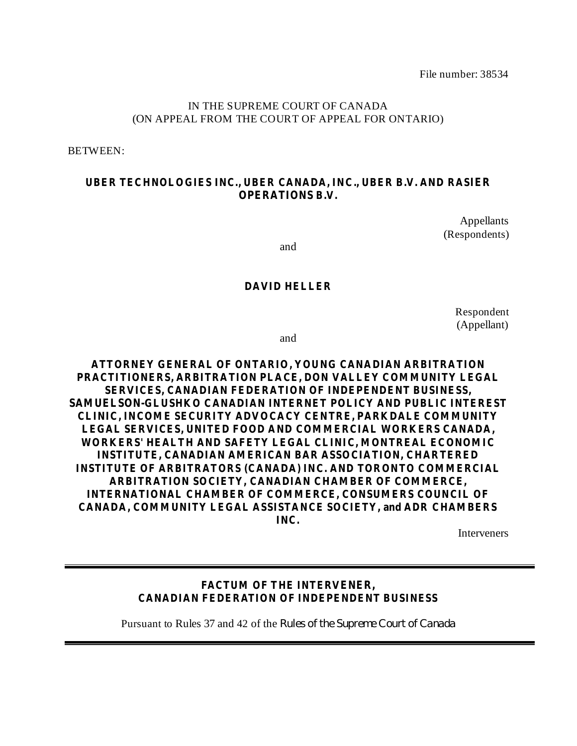File number: 38534

## IN THE SUPREME COURT OF CANADA (ON APPEAL FROM THE COURT OF APPEAL FOR ONTARIO)

BETWEEN:

## **UBER TECHNOLOGIES INC., UBER CANADA, INC., UBER B.V. AND RASIER OPERATIONS B.V.**

Appellants (Respondents)

and

## **DAVID HELLER**

Respondent (Appellant)

and

**ATTORNEY GENERAL OF ONTARIO, YOUNG CANADIAN ARBITRATION PRACTITIONERS, ARBITRATION PLACE, DON VALLEY COMMUNITY LEGAL SERVICES, CANADIAN FEDERATION OF INDEPENDENT BUSINESS, SAMUELSON-GLUSHKO CANADIAN INTERNET POLICY AND PUBLIC INTEREST CLINIC, INCOME SECURITY ADVOCACY CENTRE, PARKDALE COMMUNITY LEGAL SERVICES, UNITED FOOD AND COMMERCIAL WORKERS CANADA, WORKERS' HEALTH AND SAFETY LEGAL CLINIC, MONTREAL ECONOMIC INSTITUTE, CANADIAN AMERICAN BAR ASSOCIATION, CHARTERED INSTITUTE OF ARBITRATORS (CANADA) INC. AND TORONTO COMMERCIAL ARBITRATION SOCIETY, CANADIAN CHAMBER OF COMMERCE, INTERNATIONAL CHAMBER OF COMMERCE, CONSUMERS COUNCIL OF CANADA, COMMUNITY LEGAL ASSISTANCE SOCIETY, and ADR CHAMBERS INC.**

Interveners

## **FACTUM OF THE INTERVENER, CANADIAN FEDERATION OF INDEPENDENT BUSINESS**

Pursuant to Rules 37 and 42 of the *Rules of the Supreme Court of Canada*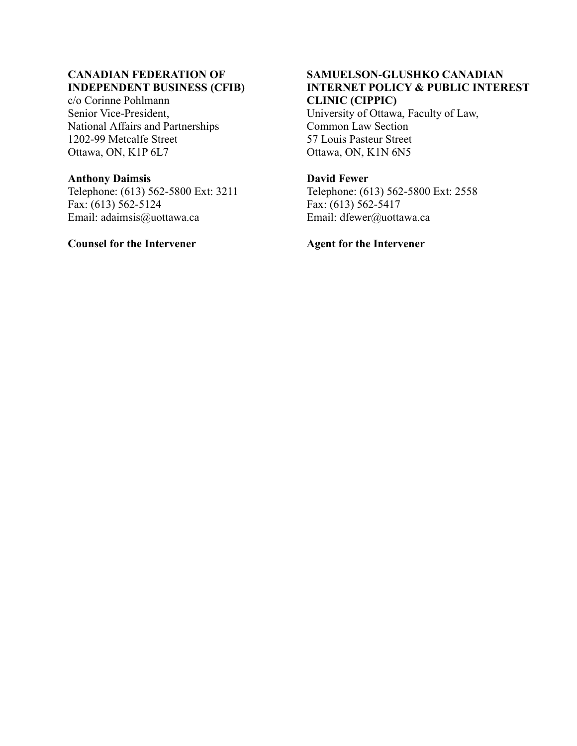## **CANADIAN FEDERATION OF INDEPENDENT BUSINESS (CFIB)**

c/o Corinne Pohlmann Senior Vice-President, National Affairs and Partnerships 1202-99 Metcalfe Street Ottawa, ON, K1P 6L7

## **Anthony Daimsis**

Telephone: (613) 562-5800 Ext: 3211 Fax: (613) 562-5124 Email: adaimsis@uottawa.ca

## **Counsel for the Intervener**

## **SAMUELSON-GLUSHKO CANADIAN INTERNET POLICY & PUBLIC INTEREST CLINIC (CIPPIC)**

University of Ottawa, Faculty of Law, Common Law Section 57 Louis Pasteur Street Ottawa, ON, K1N 6N5

## **David Fewer**

Telephone: (613) 562-5800 Ext: 2558 Fax:  $(613)$  562-5417 Email: dfewer@uottawa.ca

## **Agent for the Intervener**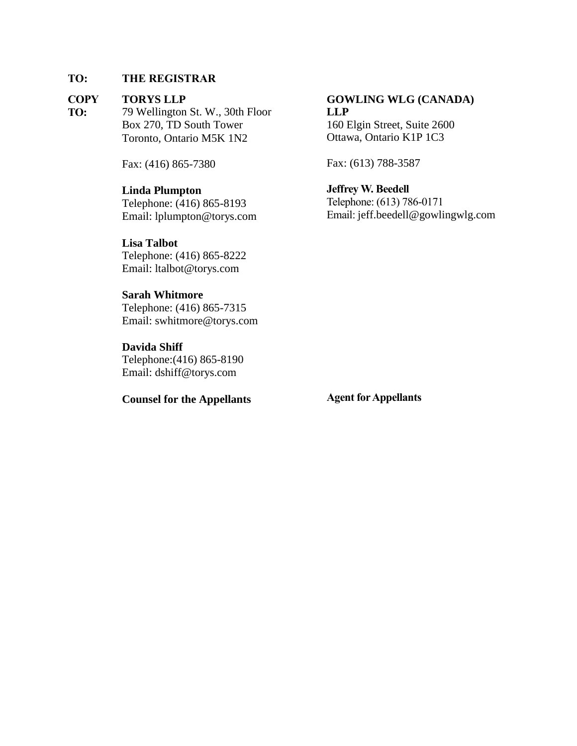## **TO: THE REGISTRAR**

### **COPY TORYS LLP**

**TO:** 79 Wellington St. W., 30th Floor Box 270, TD South Tower Toronto, Ontario M5K 1N2

Fax: (416) 865-7380

## **Linda Plumpton**

Telephone: (416) 865-8193 Email: lplumpton@torys.com

**Lisa Talbot** Telephone: (416) 865-8222 Email: ltalbot@torys.com

## **Sarah Whitmore**

Telephone: (416) 865-7315 Email: swhitmore@torys.com

**Davida Shiff**

Telephone:(416) 865-8190 Email: dshiff@torys.com

## **Counsel for the Appellants**

## **GOWLING WLG (CANADA) LLP**

160 Elgin Street, Suite 2600 Ottawa, Ontario K1P 1C3

Fax: (613) 788-3587

**Jeffrey W. Beedell** Telephone: (613) 786-0171 Email: jeff.beedell@gowlingwlg.com

**Agent for Appellants**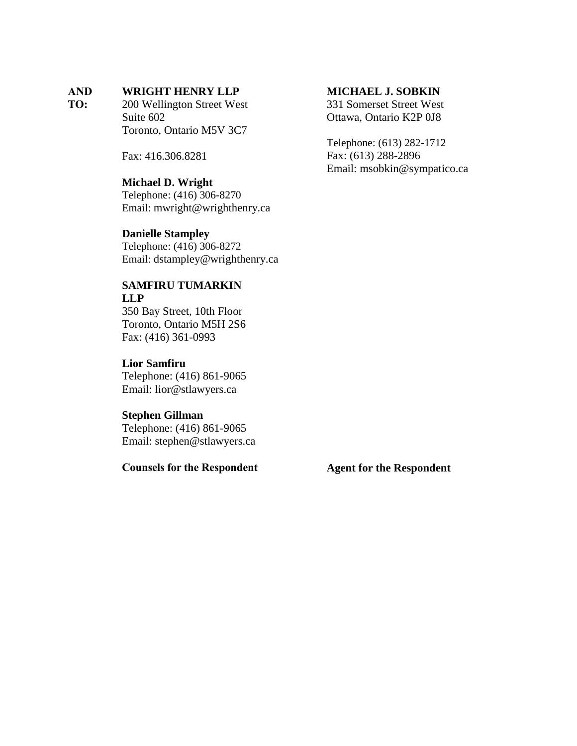### **AND WRIGHT HENRY LLP**

**TO:** 200 Wellington Street West Suite 602 Toronto, Ontario M5V 3C7

Fax: 416.306.8281

## **Michael D. Wright**

Telephone: (416) 306-8270 Email: mwright@wrighthenry.ca

## **Danielle Stampley**

Telephone: (416) 306-8272 Email: dstampley@wrighthenry.ca

## **SAMFIRU TUMARKIN LLP**

350 Bay Street, 10th Floor Toronto, Ontario M5H 2S6 Fax: (416) 361-0993

## **Lior Samfiru**

Telephone: (416) 861-9065 Email: lior@stlawyers.ca

## **Stephen Gillman**

Telephone: (416) 861-9065 Email: stephen@stlawyers.ca

**Counsels for the Respondent**

## **MICHAEL J. SOBKIN**

331 Somerset Street West Ottawa, Ontario K2P 0J8

Telephone: (613) 282-1712 Fax: (613) 288-2896 Email: msobkin@sympatico.ca

**Agent for the Respondent**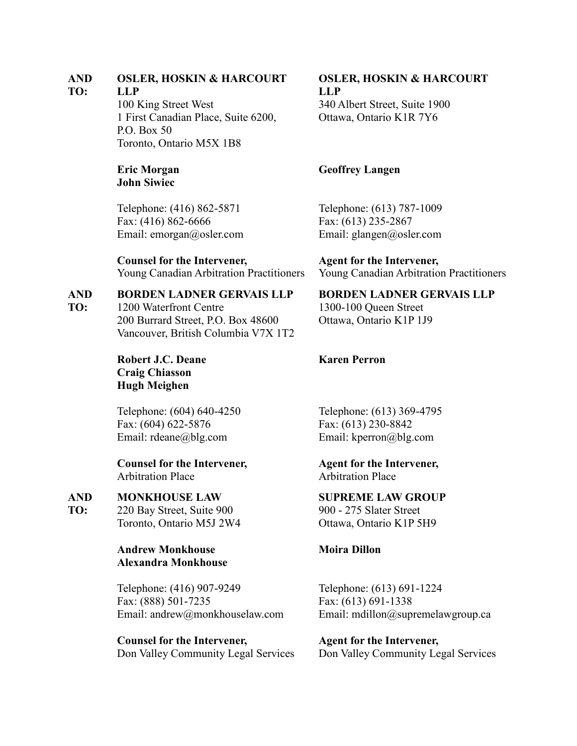### **AND OSLER, HOSKIN & HARCOURT**

### **TO: LLP**

100 King Street West 1 First Canadian Place, Suite 6200, P.O. Box 50 Toronto, Ontario M5X 1B8

## **Eric Morgan John Siwiec**

Telephone: (416) 862-5871 Fax: (416) 862-6666 Email: [emorgan@osler.com](mailto:emorgan@osler.com)

**Counsel for the Intervener,** Young Canadian Arbitration Practitioners

### **AND BORDEN LADNER GERVAIS LLP**

**TO:** 1200 Waterfront Centre 200 Burrard Street, P.O. Box 48600 Vancouver, British Columbia V7X 1T2

> **Robert J.C. Deane Craig Chiasson Hugh Meighen**

Telephone: (604) 640-4250 Fax: (604) 622-5876 Email: [rdeane@blg.com](mailto:rdeane@blg.com)

**Counsel for the Intervener,** Arbitration Place

### **AND MONKHOUSE LAW**

**TO:** 220 Bay Street, Suite 900 Toronto, Ontario M5J 2W4

## **Andrew Monkhouse Alexandra Monkhouse**

Telephone: (416) 907-9249 Fax: (888) 501-7235 Email: [andrew@monkhouselaw.com](mailto:andrew@monkhouselaw.com)

**Counsel for the Intervener,** Don Valley Community Legal Services

## **OSLER, HOSKIN & HARCOURT LLP** 340 Albert Street, Suite 1900 Ottawa, Ontario K1R 7Y6

## **Geoffrey Langen**

Telephone: (613) 787-1009 Fax: (613) 235-2867 Email: [glangen@osler.com](mailto:glangen@osler.com)

**Agent for the Intervener,** Young Canadian Arbitration Practitioners

## **BORDEN LADNER GERVAIS LLP**

1300-100 Queen Street Ottawa, Ontario K1P 1J9

## **Karen Perron**

Telephone: (613) 369-4795 Fax: (613) 230-8842 Email: [kperron@blg.com](mailto:kperron@blg.com)

**Agent for the Intervener,** Arbitration Place

**SUPREME LAW GROUP** 900 - 275 Slater Street

Ottawa, Ontario K1P 5H9

## **Moira Dillon**

Telephone: (613) 691-1224 Fax: (613) 691-1338 Email: [mdillon@supremelawgroup.ca](mailto:mdillon@supremelawgroup.ca)

**Agent for the Intervener,** Don Valley Community Legal Services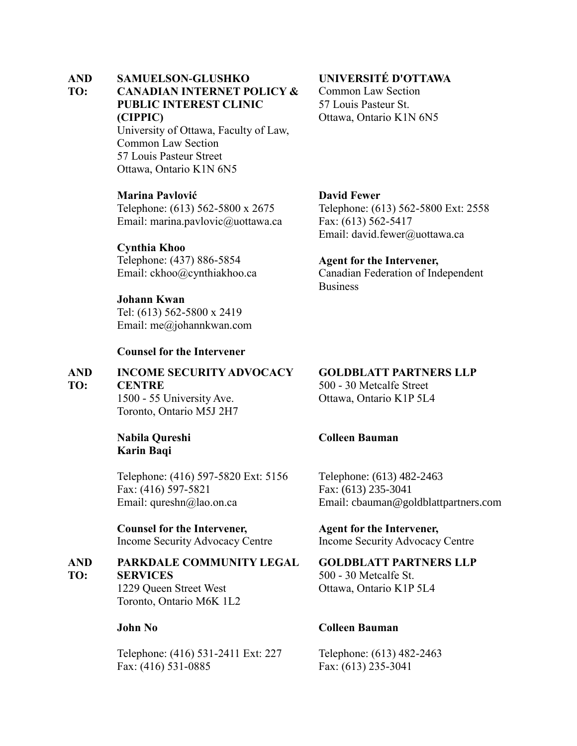### **AND SAMUELSON-GLUSHKO**

### **TO: CANADIAN INTERNET POLICY & PUBLIC INTEREST CLINIC (CIPPIC)**

University of Ottawa, Faculty of Law, Common Law Section 57 Louis Pasteur Street Ottawa, Ontario K1N 6N5

## **Marina Pavlović**

Telephone: (613) 562-5800 x 2675 Email: marina.pavlovic@uottawa.ca

## **Cynthia Khoo**

Telephone: (437) 886-5854 Email: [ckhoo@cynthiakhoo.ca](mailto:ckhoo@cynthiakhoo.ca)

## **Johann Kwan**

Tel: (613) 562-5800 x 2419 Email: [me@johannkwan.com](mailto:me@johannkwan.com)

## **Counsel for the Intervener**

### **AND TO: INCOME SECURITY ADVOCACY CENTRE**

1500 - 55 University Ave. Toronto, Ontario M5J 2H7

**Nabila Qureshi Karin Baqi**

Telephone: (416) 597-5820 Ext: 5156 Fax: (416) 597-5821 Email: [qureshn@lao.on.ca](mailto:qureshn@lao.on.ca)

**Counsel for the Intervener,** Income Security Advocacy Centre

#### **AND TO: PARKDALE COMMUNITY LEGAL SERVICES**

1229 Queen Street West Toronto, Ontario M6K 1L2

## **John No**

Telephone: (416) 531-2411 Ext: 227 Fax: (416) 531-0885

## **UNIVERSITÉ D'OTTAWA**

Common Law Section 57 Louis Pasteur St. Ottawa, Ontario K1N 6N5

## **David Fewer**

Telephone: (613) 562-5800 Ext: 2558 Fax: (613) 562-5417 Email: [david.fewer@uottawa.ca](mailto:david.fewer@uottawa.ca)

## **Agent for the Intervener,**

Canadian Federation of Independent **Business** 

## **GOLDBLATT PARTNERS LLP**

500 - 30 Metcalfe Street Ottawa, Ontario K1P 5L4

## **Colleen Bauman**

Telephone: (613) 482-2463 Fax: (613) 235-3041 Email: cbauman@goldblattpartners.com

**Agent for the Intervener,** Income Security Advocacy Centre

## **GOLDBLATT PARTNERS LLP** 500 - 30 Metcalfe St. Ottawa, Ontario K1P 5L4

## **Colleen Bauman**

Telephone: (613) 482-2463 Fax: (613) 235-3041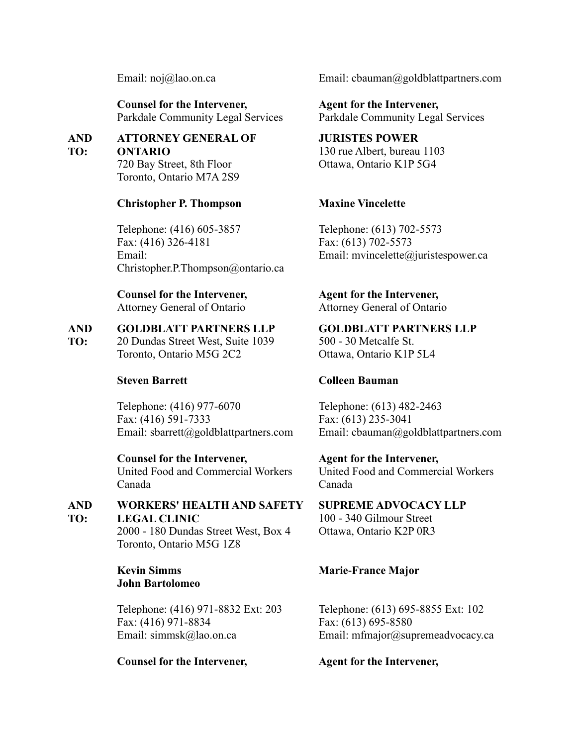Email: [noj@lao.on.ca](mailto:noj@lao.on.ca)

**Counsel for the Intervener,** Parkdale Community Legal Services

**AND TO: ATTORNEY GENERAL OF ONTARIO**

720 Bay Street, 8th Floor Toronto, Ontario M7A 2S9

## **Christopher P. Thompson**

Telephone: (416) 605-3857 Fax: (416) 326-4181 Email: Christopher.P.Thompson@ontario.ca

**Counsel for the Intervener,** Attorney General of Ontario

### **AND GOLDBLATT PARTNERS LLP**

**TO:** 20 Dundas Street West, Suite 1039 Toronto, Ontario M5G 2C2

## **Steven Barrett**

Telephone: (416) 977-6070 Fax: (416) 591-7333 Email: [sbarrett@goldblattpartners.com](mailto:sbarrett@goldblattpartners.com)

**Counsel for the Intervener,** United Food and Commercial Workers Canada

**AND TO: WORKERS' HEALTH AND SAFETY LEGAL CLINIC**

2000 - 180 Dundas Street West, Box 4 Toronto, Ontario M5G 1Z8

**Kevin Simms John Bartolomeo**

Telephone: (416) 971-8832 Ext: 203 Fax: (416) 971-8834 Email: [simmsk@lao.on.ca](mailto:simmsk@lao.on.ca)

## **Counsel for the Intervener,**

Email: [cbauman@goldblattpartners.com](mailto:cbauman@goldblattpartners.com)

**Agent for the Intervener,** Parkdale Community Legal Services

**JURISTES POWER** 130 rue Albert, bureau 1103 Ottawa, Ontario K1P 5G4

## **Maxine Vincelette**

Telephone: (613) 702-5573 Fax: (613) 702-5573 Email: [mvincelette@juristespower.ca](mailto:mvincelette@juristespower.ca)

**Agent for the Intervener,** Attorney General of Ontario

**GOLDBLATT PARTNERS LLP** 500 - 30 Metcalfe St. Ottawa, Ontario K1P 5L4

## **Colleen Bauman**

Telephone: (613) 482-2463 Fax: (613) 235-3041 Email: [cbauman@goldblattpartners.com](mailto:cbauman@goldblattpartners.com)

**Agent for the Intervener,**

United Food and Commercial Workers Canada

**SUPREME ADVOCACY LLP** 100 - 340 Gilmour Street Ottawa, Ontario K2P 0R3

## **Marie-France Major**

Telephone: (613) 695-8855 Ext: 102 Fax: (613) 695-8580 Email: [mfmajor@supremeadvocacy.ca](mailto:mfmajor@supremeadvocacy.ca)

**Agent for the Intervener,**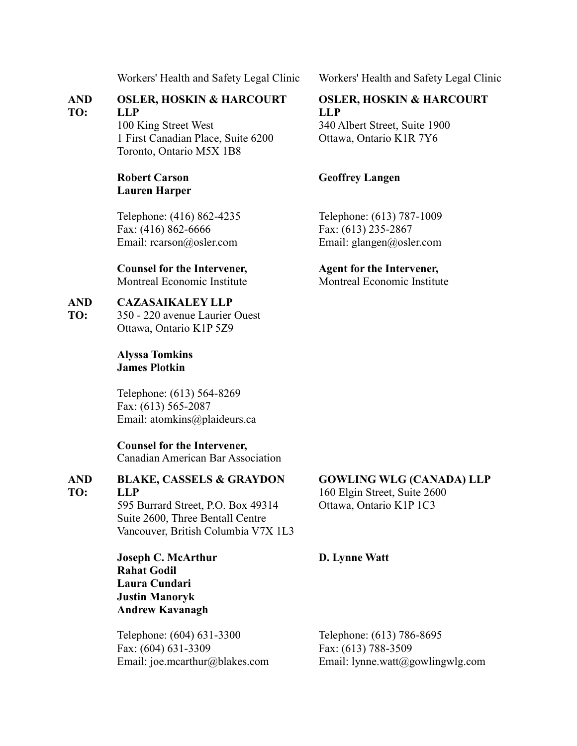### **AND TO: OSLER, HOSKIN & HARCOURT LLP**

100 King Street West 1 First Canadian Place, Suite 6200 Toronto, Ontario M5X 1B8

## **Robert Carson Lauren Harper**

Telephone: (416) 862-4235 Fax: (416) 862-6666 Email: [rcarson@osler.com](mailto:rcarson@osler.com)

# **Counsel for the Intervener,**

Montreal Economic Institute

### **AND CAZASAIKALEY LLP**

**TO:** 350 - 220 avenue Laurier Ouest Ottawa, Ontario K1P 5Z9

## **Alyssa Tomkins James Plotkin**

Telephone: (613) 564-8269 Fax: (613) 565-2087 Email: [atomkins@plaideurs.ca](mailto:atomkins@plaideurs.ca)

## **Counsel for the Intervener,**

Canadian American Bar Association

### **AND TO: BLAKE, CASSELS & GRAYDON LLP**

595 Burrard Street, P.O. Box 49314 Suite 2600, Three Bentall Centre Vancouver, British Columbia V7X 1L3

**Joseph C. McArthur Rahat Godil Laura Cundari Justin Manoryk Andrew Kavanagh**

Telephone: (604) 631-3300 Fax: (604) 631-3309 Email: [joe.mcarthur@blakes.com](mailto:joe.mcarthur@blakes.com)

Workers' Health and Safety Legal Clinic Workers' Health and Safety Legal Clinic

## **OSLER, HOSKIN & HARCOURT LLP**

340 Albert Street, Suite 1900 Ottawa, Ontario K1R 7Y6

## **Geoffrey Langen**

Telephone: (613) 787-1009 Fax: (613) 235-2867 Email: [glangen@osler.com](mailto:glangen@osler.com)

## **Agent for the Intervener,**

Montreal Economic Institute

## **GOWLING WLG (CANADA) LLP**

160 Elgin Street, Suite 2600 Ottawa, Ontario K1P 1C3

## **D. Lynne Watt**

Telephone: (613) 786-8695 Fax: (613) 788-3509 Email: [lynne.watt@gowlingwlg.com](mailto:lynne.watt@gowlingwlg.com)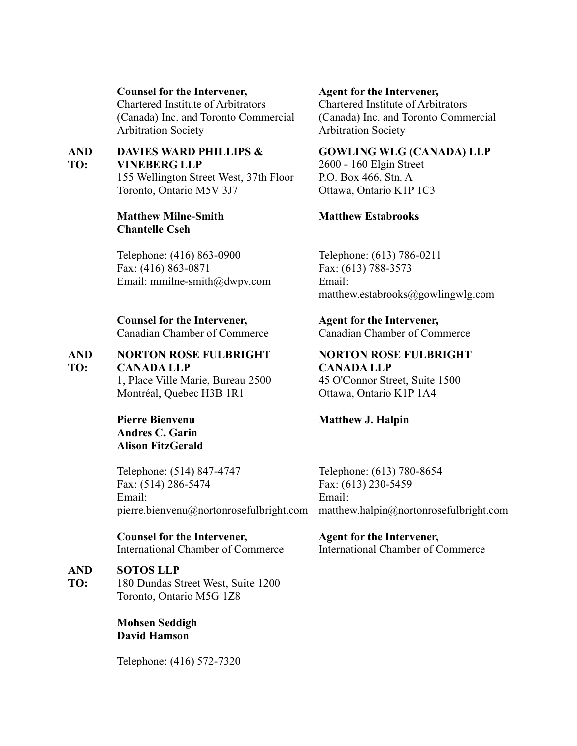## **Counsel for the Intervener,**

Chartered Institute of Arbitrators (Canada) Inc. and Toronto Commercial Arbitration Society

### **AND TO: DAVIES WARD PHILLIPS & VINEBERG LLP**

155 Wellington Street West, 37th Floor Toronto, Ontario M5V 3J7

## **Matthew Milne-Smith Chantelle Cseh**

Telephone: (416) 863-0900 Fax: (416) 863-0871 Email: mmilne-smith@dwpv.com

## **Counsel for the Intervener,**

Canadian Chamber of Commerce

### **AND TO: NORTON ROSE FULBRIGHT CANADA LLP**

1, Place Ville Marie, Bureau 2500 Montréal, Quebec H3B 1R1

**Pierre Bienvenu Andres C. Garin Alison FitzGerald**

Telephone: (514) 847-4747 Fax: (514) 286-5474 Email: [pierre.bienvenu@nortonrosefulbright.com](mailto:pierre.bienvenu@nortonrosefulbright.com)

**Counsel for the Intervener,** International Chamber of Commerce

### **AND SOTOS LLP**

**TO:** 180 Dundas Street West, Suite 1200 Toronto, Ontario M5G 1Z8

> **Mohsen Seddigh David Hamson**

Telephone: (416) 572-7320

## **Agent for the Intervener,**

Chartered Institute of Arbitrators (Canada) Inc. and Toronto Commercial Arbitration Society

## **GOWLING WLG (CANADA) LLP**

2600 - 160 Elgin Street P.O. Box 466, Stn. A Ottawa, Ontario K1P 1C3

## **Matthew Estabrooks**

Telephone: (613) 786-0211 Fax: (613) 788-3573 Email: matthew.estabrooks@gowlingwlg.com

## **Agent for the Intervener,**

Canadian Chamber of Commerce

**NORTON ROSE FULBRIGHT CANADA LLP**

45 O'Connor Street, Suite 1500 Ottawa, Ontario K1P 1A4

## **Matthew J. Halpin**

Telephone: (613) 780-8654 Fax: (613) 230-5459 Email: [matthew.halpin@nortonrosefulbright.com](mailto:matthew.halpin@nortonrosefulbright.com)

## **Agent for the Intervener,** International Chamber of Commerce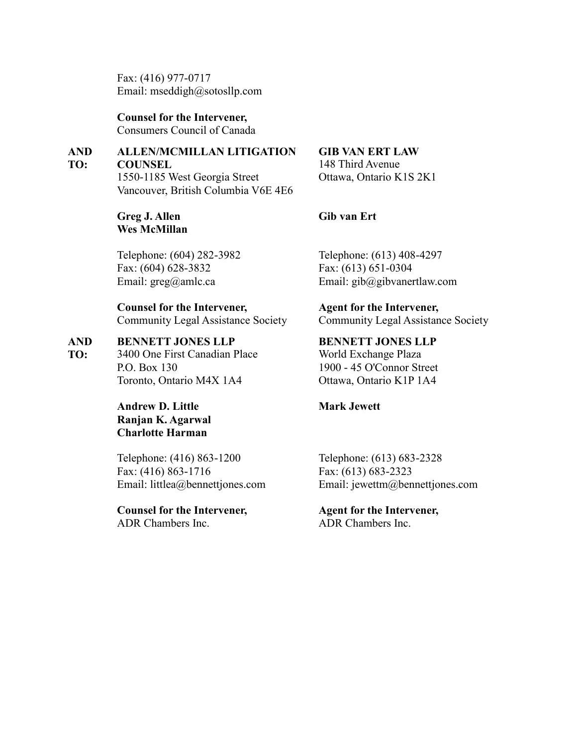Fax: (416) 977-0717 Email: [mseddigh@sotosllp.com](mailto:mseddigh@sotosllp.com)

**Counsel for the Intervener,** Consumers Council of Canada

### **AND ALLEN/MCMILLAN LITIGATION**

**TO: COUNSEL** 1550-1185 West Georgia Street Vancouver, British Columbia V6E 4E6

> **Greg J. Allen Wes McMillan**

Telephone: (604) 282-3982 Fax: (604) 628-3832 Email: [greg@amlc.ca](mailto:greg@amlc.ca)

## **Counsel for the Intervener,** Community Legal Assistance Society

### **AND BENNETT JONES LLP**

**TO:** 3400 One First Canadian Place P.O. Box 130 Toronto, Ontario M4X 1A4

> **Andrew D. Little Ranjan K. Agarwal Charlotte Harman**

Telephone: (416) 863-1200 Fax: (416) 863-1716 Email: [littlea@bennettjones.com](mailto:littlea@bennettjones.com)

**Counsel for the Intervener,** ADR Chambers Inc.

## **GIB VAN ERT LAW**

148 Third Avenue Ottawa, Ontario K1S 2K1

## **Gib van Ert**

Telephone: (613) 408-4297 Fax: (613) 651-0304 Email: gib@gibvanertlaw.com

**Agent for the Intervener,** Community Legal Assistance Society

**BENNETT JONES LLP** World Exchange Plaza 1900 - 45 O'Connor Street Ottawa, Ontario K1P 1A4

## **Mark Jewett**

Telephone: (613) 683-2328 Fax: (613) 683-2323 Email: [jewettm@bennettjones.com](mailto:jewettm@bennettjones.com)

**Agent for the Intervener,** ADR Chambers Inc.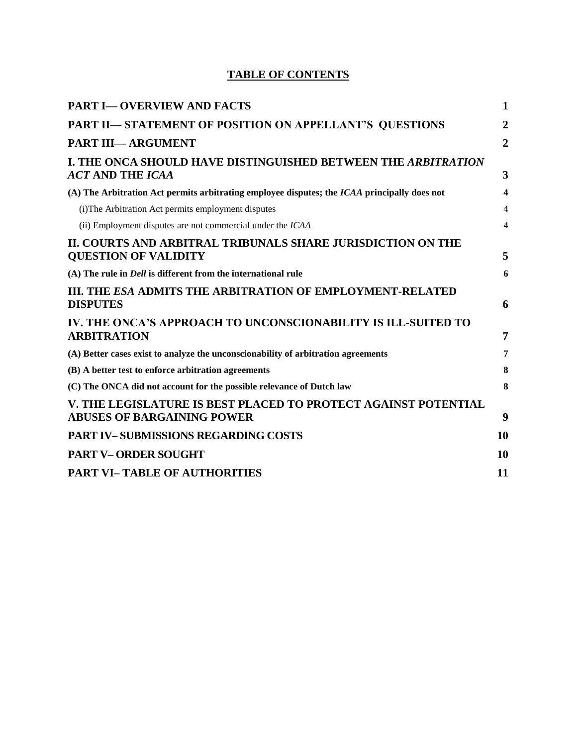## **TABLE OF CONTENTS**

| <b>PART I-OVERVIEW AND FACTS</b>                                                                    | 1              |
|-----------------------------------------------------------------------------------------------------|----------------|
| PART II-STATEMENT OF POSITION ON APPELLANT'S QUESTIONS                                              | $\overline{2}$ |
| <b>PART III-ARGUMENT</b>                                                                            | $\overline{2}$ |
| I. THE ONCA SHOULD HAVE DISTINGUISHED BETWEEN THE ARBITRATION<br><b>ACT AND THE ICAA</b>            | 3              |
| (A) The Arbitration Act permits arbitrating employee disputes; the ICAA principally does not        | 4              |
| (i) The Arbitration Act permits employment disputes                                                 | $\overline{4}$ |
| (ii) Employment disputes are not commercial under the ICAA                                          | $\overline{4}$ |
| II. COURTS AND ARBITRAL TRIBUNALS SHARE JURISDICTION ON THE<br><b>QUESTION OF VALIDITY</b>          | 5              |
| $(A)$ The rule in <i>Dell</i> is different from the international rule                              | 6              |
| <b>III. THE ESA ADMITS THE ARBITRATION OF EMPLOYMENT-RELATED</b><br><b>DISPUTES</b>                 | 6              |
| IV. THE ONCA'S APPROACH TO UNCONSCIONABILITY IS ILL-SUITED TO<br><b>ARBITRATION</b>                 | 7              |
| (A) Better cases exist to analyze the unconscionability of arbitration agreements                   | 7              |
| (B) A better test to enforce arbitration agreements                                                 | 8              |
| (C) The ONCA did not account for the possible relevance of Dutch law                                | 8              |
| V. THE LEGISLATURE IS BEST PLACED TO PROTECT AGAINST POTENTIAL<br><b>ABUSES OF BARGAINING POWER</b> | 9              |
| <b>PART IV-SUBMISSIONS REGARDING COSTS</b>                                                          | 10             |
| <b>PART V-ORDER SOUGHT</b>                                                                          | 10             |
| <b>PART VI-TABLE OF AUTHORITIES</b>                                                                 | 11             |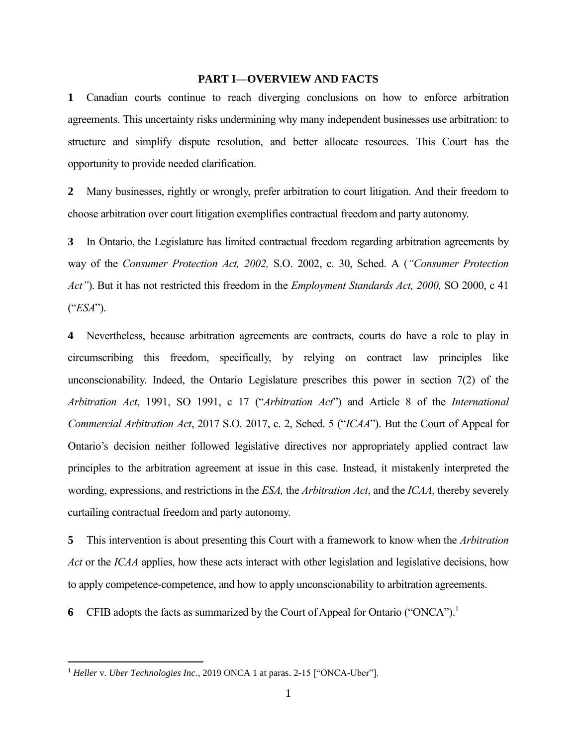## **PART I—OVERVIEW AND FACTS**

**1** Canadian courts continue to reach diverging conclusions on how to enforce arbitration agreements. This uncertainty risks undermining why many independent businesses use arbitration: to structure and simplify dispute resolution, and better allocate resources. This Court has the opportunity to provide needed clarification.

**2** Many businesses, rightly or wrongly, prefer arbitration to court litigation. And their freedom to choose arbitration over court litigation exemplifies contractual freedom and party autonomy.

**3** In Ontario, the Legislature has limited contractual freedom regarding arbitration agreements by way of the *Consumer Protection Act, 2002,* S.O. 2002, c. 30, Sched. A (*"Consumer Protection Act"*). But it has not restricted this freedom in the *Employment Standards Act, 2000,* SO 2000, c 41 ("*ESA*").

**4** Nevertheless, because arbitration agreements are contracts, courts do have a role to play in circumscribing this freedom, specifically, by relying on contract law principles like unconscionability. Indeed, the Ontario Legislature prescribes this power in section 7(2) of the *Arbitration Act*, 1991, SO 1991, c 17 ("*Arbitration Act*") and Article 8 of the *International Commercial Arbitration Act*, 2017 S.O. 2017, c. 2, Sched. 5 ("*ICAA*"). But the Court of Appeal for Ontario's decision neither followed legislative directives nor appropriately applied contract law principles to the arbitration agreement at issue in this case. Instead, it mistakenly interpreted the wording, expressions, and restrictions in the *ESA,* the *Arbitration Act*, and the *ICAA*, thereby severely curtailing contractual freedom and party autonomy.

**5** This intervention is about presenting this Court with a framework to know when the *Arbitration Act* or the *ICAA* applies, how these acts interact with other legislation and legislative decisions, how to apply competence-competence, and how to apply unconscionability to arbitration agreements.

**6** CFIB adopts the facts as summarized by the Court of Appeal for Ontario ("ONCA").<sup>1</sup>

<sup>&</sup>lt;sup>1</sup> Heller v. *Uber Technologies Inc.*, 2019 ONCA 1 at paras. 2-15 ["ONCA-Uber"].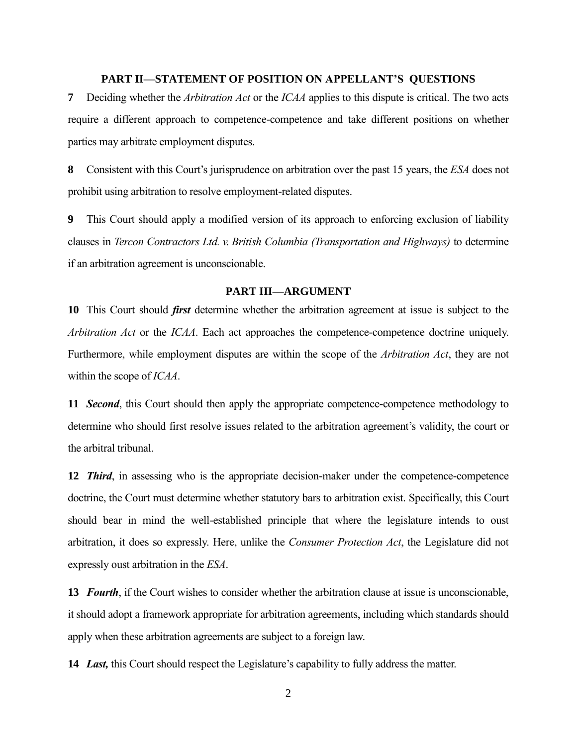## **PART II—STATEMENT OF POSITION ON APPELLANT'S QUESTIONS**

**7** Deciding whether the *Arbitration Act* or the *ICAA* applies to this dispute is critical. The two acts require a different approach to competence-competence and take different positions on whether parties may arbitrate employment disputes.

**8** Consistent with this Court's jurisprudence on arbitration over the past 15 years, the *ESA* does not prohibit using arbitration to resolve employment-related disputes.

**9** This Court should apply a modified version of its approach to enforcing exclusion of liability clauses in *Tercon Contractors Ltd. v. British Columbia (Transportation and Highways)* to determine if an arbitration agreement is unconscionable.

## **PART III—ARGUMENT**

**10** This Court should *first* determine whether the arbitration agreement at issue is subject to the *Arbitration Act* or the *ICAA*. Each act approaches the competence-competence doctrine uniquely. Furthermore, while employment disputes are within the scope of the *Arbitration Act*, they are not within the scope of *ICAA*.

**11** *Second*, this Court should then apply the appropriate competence-competence methodology to determine who should first resolve issues related to the arbitration agreement's validity, the court or the arbitral tribunal.

**12** *Third*, in assessing who is the appropriate decision-maker under the competence-competence doctrine, the Court must determine whether statutory bars to arbitration exist. Specifically, this Court should bear in mind the well-established principle that where the legislature intends to oust arbitration, it does so expressly. Here, unlike the *Consumer Protection Act*, the Legislature did not expressly oust arbitration in the *ESA*.

**13** *Fourth*, if the Court wishes to consider whether the arbitration clause at issue is unconscionable, it should adopt a framework appropriate for arbitration agreements, including which standards should apply when these arbitration agreements are subject to a foreign law.

**14** *Last,* this Court should respect the Legislature's capability to fully address the matter.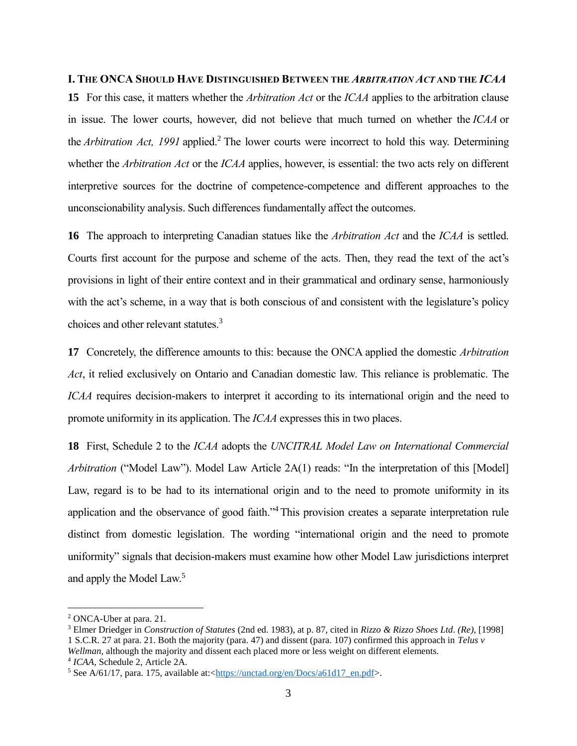## **I. THE ONCA SHOULD HAVE DISTINGUISHED BETWEEN THE** *ARBITRATION ACT* **AND THE** *ICAA*

**15** For this case, it matters whether the *Arbitration Act* or the *ICAA* applies to the arbitration clause in issue. The lower courts, however, did not believe that much turned on whether the *ICAA* or the *Arbitration Act, 1991* applied.<sup>2</sup> The lower courts were incorrect to hold this way. Determining whether the *Arbitration Act* or the *ICAA* applies, however, is essential: the two acts rely on different interpretive sources for the doctrine of competence-competence and different approaches to the unconscionability analysis. Such differences fundamentally affect the outcomes.

**16** The approach to interpreting Canadian statues like the *Arbitration Act* and the *ICAA* is settled. Courts first account for the purpose and scheme of the acts. Then, they read the text of the act's provisions in light of their entire context and in their grammatical and ordinary sense, harmoniously with the act's scheme, in a way that is both conscious of and consistent with the legislature's policy choices and other relevant statutes.<sup>3</sup>

**17** Concretely, the difference amounts to this: because the ONCA applied the domestic *Arbitration Act*, it relied exclusively on Ontario and Canadian domestic law. This reliance is problematic. The *ICAA* requires decision-makers to interpret it according to its international origin and the need to promote uniformity in its application. The *ICAA* expresses this in two places.

**18** First, Schedule 2 to the *ICAA* adopts the *UNCITRAL Model Law on International Commercial Arbitration* ("Model Law"). Model Law Article 2A(1) reads: "In the interpretation of this [Model] Law, regard is to be had to its international origin and to the need to promote uniformity in its application and the observance of good faith."<sup>4</sup> This provision creates a separate interpretation rule distinct from domestic legislation. The wording "international origin and the need to promote uniformity" signals that decision-makers must examine how other Model Law jurisdictions interpret and apply the Model Law.<sup>5</sup>

<sup>2</sup> ONCA-Uber at para. 21.

<sup>3</sup> Elmer Driedger in *Construction of Statutes* (2nd ed. 1983), at p. 87, cited in *Rizzo & Rizzo Shoes Ltd*. *(Re)*, [1998] 1 S.C.R. 27 at para. 21. Both the majority (para. 47) and dissent (para. 107) confirmed this approach in *Telus v Wellman*, although the majority and dissent each placed more or less weight on different elements. 4 *ICAA*, Schedule 2, Article 2A.

 $5$  See A/61/17, para. 175, available at:[<https://unctad.org/en/Docs/a61d17\\_en.pdf>](https://unctad.org/en/Docs/a61d17_en.pdf).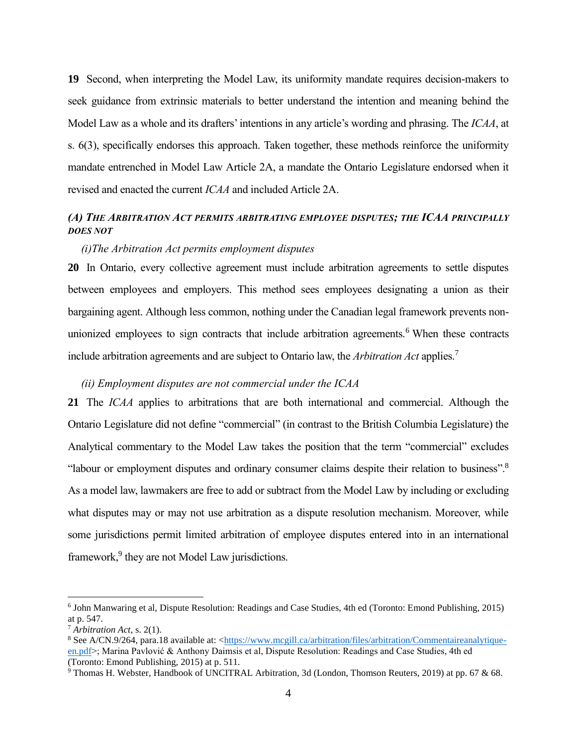**19** Second, when interpreting the Model Law, its uniformity mandate requires decision-makers to seek guidance from extrinsic materials to better understand the intention and meaning behind the Model Law as a whole and its drafters' intentions in any article's wording and phrasing. The *ICAA*, at s. 6(3), specifically endorses this approach. Taken together, these methods reinforce the uniformity mandate entrenched in Model Law Article 2A, a mandate the Ontario Legislature endorsed when it revised and enacted the current *ICAA* and included Article 2A.

## *(A) THE ARBITRATION ACT PERMITS ARBITRATING EMPLOYEE DISPUTES; THE ICAA PRINCIPALLY DOES NOT*

## *(i)The Arbitration Act permits employment disputes*

**20** In Ontario, every collective agreement must include arbitration agreements to settle disputes between employees and employers. This method sees employees designating a union as their bargaining agent. Although less common, nothing under the Canadian legal framework prevents nonunionized employees to sign contracts that include arbitration agreements.<sup>6</sup> When these contracts include arbitration agreements and are subject to Ontario law, the *Arbitration Act* applies.<sup>7</sup>

## *(ii) Employment disputes are not commercial under the ICAA*

**21** The *ICAA* applies to arbitrations that are both international and commercial. Although the Ontario Legislature did not define "commercial" (in contrast to the British Columbia Legislature) the Analytical commentary to the Model Law takes the position that the term "commercial" excludes "labour or employment disputes and ordinary consumer claims despite their relation to business".<sup>8</sup> As a model law, lawmakers are free to add or subtract from the Model Law by including or excluding what disputes may or may not use arbitration as a dispute resolution mechanism. Moreover, while some jurisdictions permit limited arbitration of employee disputes entered into in an international framework,<sup>9</sup> they are not Model Law jurisdictions.

<sup>6</sup> John Manwaring et al, Dispute Resolution: Readings and Case Studies, 4th ed (Toronto: Emond Publishing, 2015) at p. 547.

<sup>7</sup> *Arbitration Act*, s. 2(1).

<sup>8</sup> See A/CN.9/264, para.18 available at: [<https://www.mcgill.ca/arbitration/files/arbitration/Commentaireanalytique](https://www.mcgill.ca/arbitration/files/arbitration/Commentaireanalytique-en.pdf)[en.pdf>](https://www.mcgill.ca/arbitration/files/arbitration/Commentaireanalytique-en.pdf); Marina Pavlović & Anthony Daimsis et al, Dispute Resolution: Readings and Case Studies, 4th ed (Toronto: Emond Publishing, 2015) at p. 511.

<sup>&</sup>lt;sup>9</sup> Thomas H. Webster, Handbook of UNCITRAL Arbitration, 3d (London, Thomson Reuters, 2019) at pp. 67 & 68.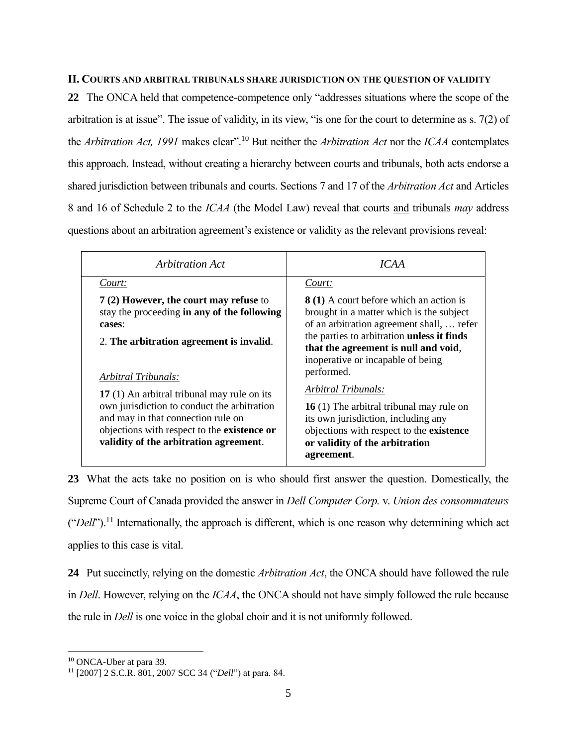## **II. COURTS AND ARBITRAL TRIBUNALS SHARE JURISDICTION ON THE QUESTION OF VALIDITY**

**22** The ONCA held that competence-competence only "addresses situations where the scope of the arbitration is at issue". The issue of validity, in its view, "is one for the court to determine as s. 7(2) of the *Arbitration Act, 1991* makes clear".<sup>10</sup> But neither the *Arbitration Act* nor the *ICAA* contemplates this approach. Instead, without creating a hierarchy between courts and tribunals, both acts endorse a shared jurisdiction between tribunals and courts. Sections 7 and 17 of the *Arbitration Act* and Articles 8 and 16 of Schedule 2 to the *ICAA* (the Model Law) reveal that courts and tribunals *may* address questions about an arbitration agreement's existence or validity as the relevant provisions reveal:

| Arbitration Act                                                                                                                                                                                                           | ICAA                                                                                                                                                                                               |
|---------------------------------------------------------------------------------------------------------------------------------------------------------------------------------------------------------------------------|----------------------------------------------------------------------------------------------------------------------------------------------------------------------------------------------------|
| Court:                                                                                                                                                                                                                    | Court:                                                                                                                                                                                             |
| 7 (2) However, the court may refuse to<br>stay the proceeding in any of the following<br>cases:                                                                                                                           | 8 (1) A court before which an action is<br>brought in a matter which is the subject<br>of an arbitration agreement shall,  refer<br>the parties to arbitration unless it finds                     |
| 2. The arbitration agreement is invalid.<br>Arbitral Tribunals:                                                                                                                                                           | that the agreement is null and void,<br>inoperative or incapable of being<br>performed.                                                                                                            |
| 17 (1) An arbitral tribunal may rule on its<br>own jurisdiction to conduct the arbitration<br>and may in that connection rule on<br>objections with respect to the existence or<br>validity of the arbitration agreement. | Arbitral Tribunals:<br>16 (1) The arbitral tribunal may rule on<br>its own jurisdiction, including any<br>objections with respect to the existence<br>or validity of the arbitration<br>agreement. |

**23** What the acts take no position on is who should first answer the question. Domestically, the Supreme Court of Canada provided the answer in *Dell Computer Corp.* v. *Union des consommateurs* ("*Dell*"). <sup>11</sup> Internationally, the approach is different, which is one reason why determining which act applies to this case is vital.

**24** Put succinctly, relying on the domestic *Arbitration Act*, the ONCA should have followed the rule in *Dell*. However, relying on the *ICAA*, the ONCA should not have simply followed the rule because the rule in *Dell* is one voice in the global choir and it is not uniformly followed.

<sup>10</sup> ONCA-Uber at para 39.

<sup>11</sup> [2007] 2 S.C.R. 801, 2007 SCC 34 ("*Dell*") at para. 84.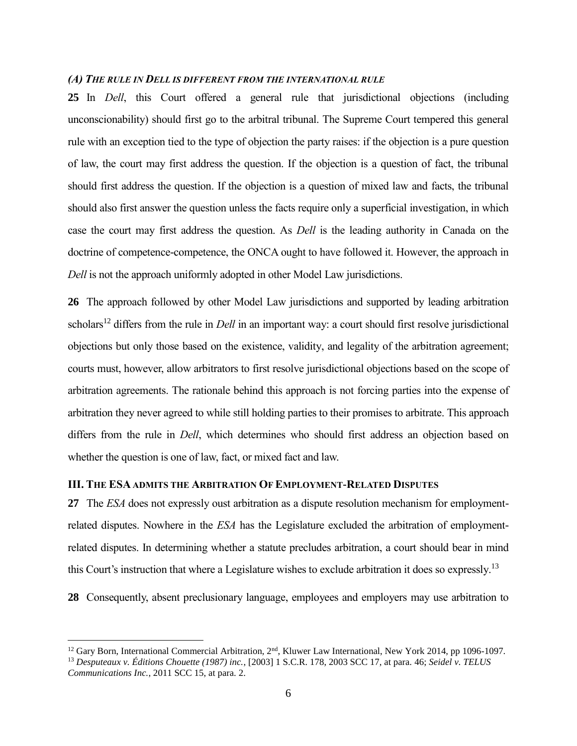## *(A) THE RULE IN DELL IS DIFFERENT FROM THE INTERNATIONAL RULE*

**25** In *Dell*, this Court offered a general rule that jurisdictional objections (including unconscionability) should first go to the arbitral tribunal. The Supreme Court tempered this general rule with an exception tied to the type of objection the party raises: if the objection is a pure question of law, the court may first address the question. If the objection is a question of fact, the tribunal should first address the question. If the objection is a question of mixed law and facts, the tribunal should also first answer the question unless the facts require only a superficial investigation, in which case the court may first address the question. As *Dell* is the leading authority in Canada on the doctrine of competence-competence, the ONCA ought to have followed it. However, the approach in *Dell* is not the approach uniformly adopted in other Model Law jurisdictions.

**26** The approach followed by other Model Law jurisdictions and supported by leading arbitration scholars<sup>12</sup> differs from the rule in *Dell* in an important way: a court should first resolve jurisdictional objections but only those based on the existence, validity, and legality of the arbitration agreement; courts must, however, allow arbitrators to first resolve jurisdictional objections based on the scope of arbitration agreements. The rationale behind this approach is not forcing parties into the expense of arbitration they never agreed to while still holding parties to their promises to arbitrate. This approach differs from the rule in *Dell*, which determines who should first address an objection based on whether the question is one of law, fact, or mixed fact and law.

## **III. THE ESA ADMITS THE ARBITRATION OF EMPLOYMENT-RELATED DISPUTES**

 $\overline{a}$ 

**27** The *ESA* does not expressly oust arbitration as a dispute resolution mechanism for employmentrelated disputes. Nowhere in the *ESA* has the Legislature excluded the arbitration of employmentrelated disputes. In determining whether a statute precludes arbitration, a court should bear in mind this Court's instruction that where a Legislature wishes to exclude arbitration it does so expressly.<sup>13</sup>

**28** Consequently, absent preclusionary language, employees and employers may use arbitration to

<sup>&</sup>lt;sup>12</sup> Gary Born, International Commercial Arbitration, 2<sup>nd</sup>, Kluwer Law International, New York 2014, pp 1096-1097.

<sup>13</sup> *Desputeaux v. Éditions Chouette (1987) inc.*, [2003] 1 S.C.R. 178, 2003 SCC 17, at para. 46; *Seidel v. TELUS Communications Inc.*, 2011 SCC 15, at para. 2.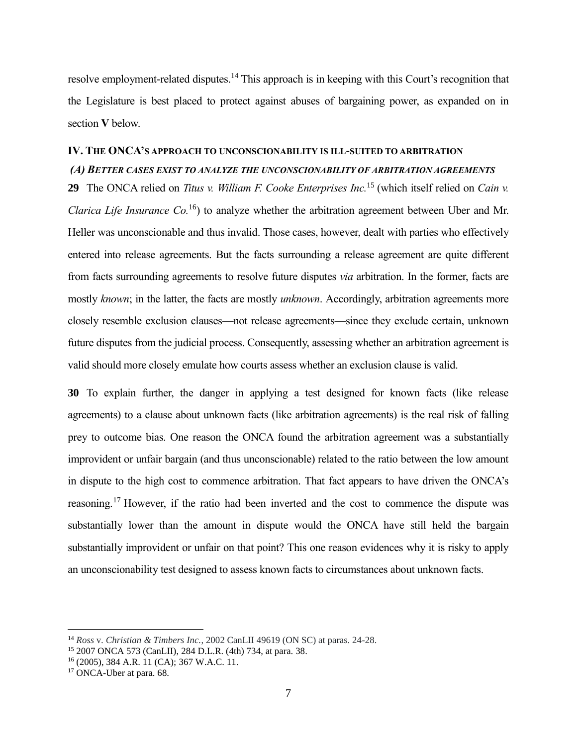resolve employment-related disputes.<sup>14</sup> This approach is in keeping with this Court's recognition that the Legislature is best placed to protect against abuses of bargaining power, as expanded on in section **V** below.

## **IV. THE ONCA'S APPROACH TO UNCONSCIONABILITY IS ILL-SUITED TO ARBITRATION**

## *(A) BETTER CASES EXIST TO ANALYZE THE UNCONSCIONABILITY OF ARBITRATION AGREEMENTS*

**29** The ONCA relied on *Titus v. William F. Cooke Enterprises Inc.*<sup>15</sup> (which itself relied on *Cain v. Clarica Life Insurance Co.*<sup>16</sup>) to analyze whether the arbitration agreement between Uber and Mr. Heller was unconscionable and thus invalid. Those cases, however, dealt with parties who effectively entered into release agreements. But the facts surrounding a release agreement are quite different from facts surrounding agreements to resolve future disputes *via* arbitration. In the former, facts are mostly *known*; in the latter, the facts are mostly *unknown*. Accordingly, arbitration agreements more closely resemble exclusion clauses—not release agreements—since they exclude certain, unknown future disputes from the judicial process. Consequently, assessing whether an arbitration agreement is valid should more closely emulate how courts assess whether an exclusion clause is valid.

**30** To explain further, the danger in applying a test designed for known facts (like release agreements) to a clause about unknown facts (like arbitration agreements) is the real risk of falling prey to outcome bias. One reason the ONCA found the arbitration agreement was a substantially improvident or unfair bargain (and thus unconscionable) related to the ratio between the low amount in dispute to the high cost to commence arbitration. That fact appears to have driven the ONCA's reasoning.<sup>17</sup> However, if the ratio had been inverted and the cost to commence the dispute was substantially lower than the amount in dispute would the ONCA have still held the bargain substantially improvident or unfair on that point? This one reason evidences why it is risky to apply an unconscionability test designed to assess known facts to circumstances about unknown facts.

<sup>14</sup> *Ross* v. *Christian & Timbers Inc.*, 2002 CanLII 49619 (ON SC) at paras. 24-28.

<sup>15</sup> 2007 ONCA 573 (CanLII), 284 D.L.R. (4th) 734, at para. 38.

<sup>16</sup> (2005), 384 A.R. 11 (CA); 367 W.A.C. 11.

<sup>&</sup>lt;sup>17</sup> ONCA-Uber at para. 68.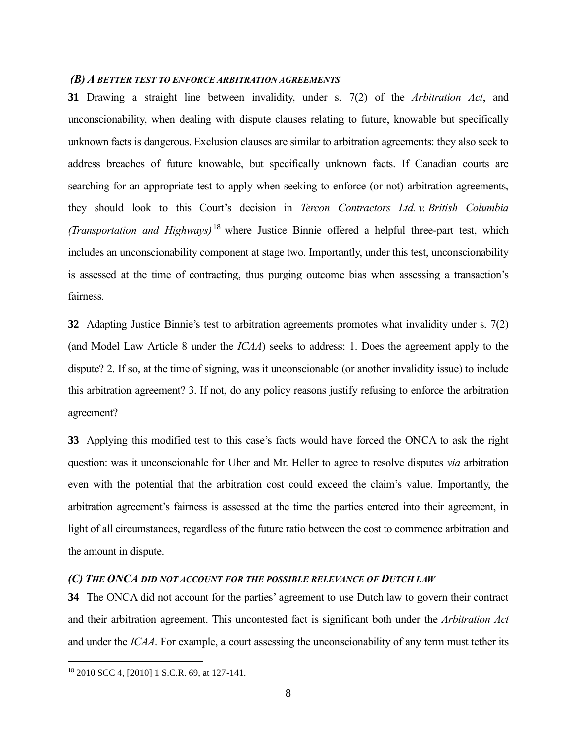## *(B) A BETTER TEST TO ENFORCE ARBITRATION AGREEMENTS*

**31** Drawing a straight line between invalidity, under s. 7(2) of the *Arbitration Act*, and unconscionability, when dealing with dispute clauses relating to future, knowable but specifically unknown facts is dangerous. Exclusion clauses are similar to arbitration agreements: they also seek to address breaches of future knowable, but specifically unknown facts. If Canadian courts are searching for an appropriate test to apply when seeking to enforce (or not) arbitration agreements, they should look to this Court's decision in *Tercon Contractors Ltd. v. British Columbia (Transportation and Highways)* <sup>18</sup> where Justice Binnie offered a helpful three-part test, which includes an unconscionability component at stage two. Importantly, under this test, unconscionability is assessed at the time of contracting, thus purging outcome bias when assessing a transaction's fairness.

**32** Adapting Justice Binnie's test to arbitration agreements promotes what invalidity under s. 7(2) (and Model Law Article 8 under the *ICAA*) seeks to address: 1. Does the agreement apply to the dispute? 2. If so, at the time of signing, was it unconscionable (or another invalidity issue) to include this arbitration agreement? 3. If not, do any policy reasons justify refusing to enforce the arbitration agreement?

**33** Applying this modified test to this case's facts would have forced the ONCA to ask the right question: was it unconscionable for Uber and Mr. Heller to agree to resolve disputes *via* arbitration even with the potential that the arbitration cost could exceed the claim's value. Importantly, the arbitration agreement's fairness is assessed at the time the parties entered into their agreement, in light of all circumstances, regardless of the future ratio between the cost to commence arbitration and the amount in dispute.

## *(C) THE ONCA DID NOT ACCOUNT FOR THE POSSIBLE RELEVANCE OF DUTCH LAW*

**34** The ONCA did not account for the parties' agreement to use Dutch law to govern their contract and their arbitration agreement. This uncontested fact is significant both under the *Arbitration Act* and under the *ICAA*. For example, a court assessing the unconscionability of any term must tether its

<sup>18</sup> 2010 SCC 4, [2010] 1 S.C.R. 69, at 127-141.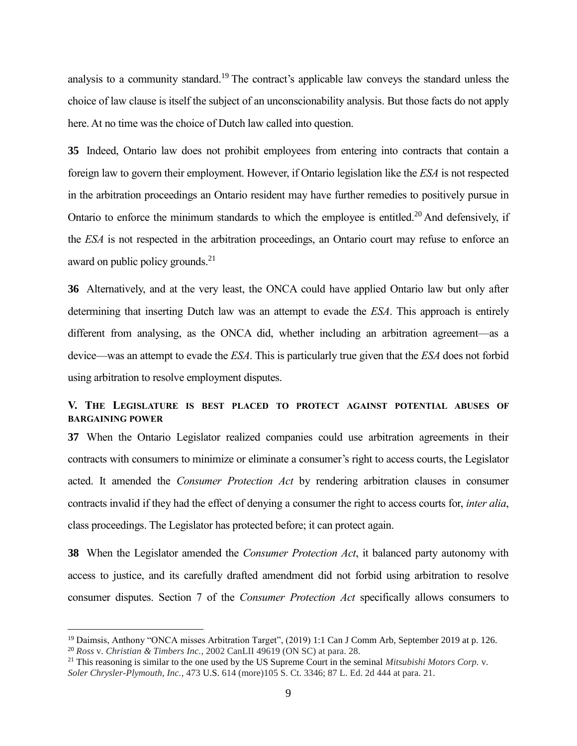analysis to a community standard.<sup>19</sup> The contract's applicable law conveys the standard unless the choice of law clause is itself the subject of an unconscionability analysis. But those facts do not apply here. At no time was the choice of Dutch law called into question.

**35** Indeed, Ontario law does not prohibit employees from entering into contracts that contain a foreign law to govern their employment. However, if Ontario legislation like the *ESA* is not respected in the arbitration proceedings an Ontario resident may have further remedies to positively pursue in Ontario to enforce the minimum standards to which the employee is entitled.<sup>20</sup> And defensively, if the *ESA* is not respected in the arbitration proceedings, an Ontario court may refuse to enforce an award on public policy grounds.<sup>21</sup>

**36** Alternatively, and at the very least, the ONCA could have applied Ontario law but only after determining that inserting Dutch law was an attempt to evade the *ESA*. This approach is entirely different from analysing, as the ONCA did, whether including an arbitration agreement—as a device—was an attempt to evade the *ESA*. This is particularly true given that the *ESA* does not forbid using arbitration to resolve employment disputes.

## **V. THE LEGISLATURE IS BEST PLACED TO PROTECT AGAINST POTENTIAL ABUSES OF BARGAINING POWER**

**37** When the Ontario Legislator realized companies could use arbitration agreements in their contracts with consumers to minimize or eliminate a consumer's right to access courts, the Legislator acted. It amended the *Consumer Protection Act* by rendering arbitration clauses in consumer contracts invalid if they had the effect of denying a consumer the right to access courts for, *inter alia*, class proceedings. The Legislator has protected before; it can protect again.

**38** When the Legislator amended the *Consumer Protection Act*, it balanced party autonomy with access to justice, and its carefully drafted amendment did not forbid using arbitration to resolve consumer disputes. Section 7 of the *Consumer Protection Act* specifically allows consumers to

<sup>&</sup>lt;sup>19</sup> Daimsis, Anthony "ONCA misses Arbitration Target", (2019) 1:1 Can J Comm Arb, September 2019 at p. 126. <sup>20</sup> *Ross* v. *Christian & Timbers Inc.*, 2002 CanLII 49619 (ON SC) at para. 28.

<sup>21</sup> This reasoning is similar to the one used by the US Supreme Court in the seminal *Mitsubishi Motors Corp.* v. *Soler Chrysler-Plymouth, Inc.*, 473 U.S. 614 (more)105 S. Ct. 3346; 87 L. Ed. 2d 444 at para. 21.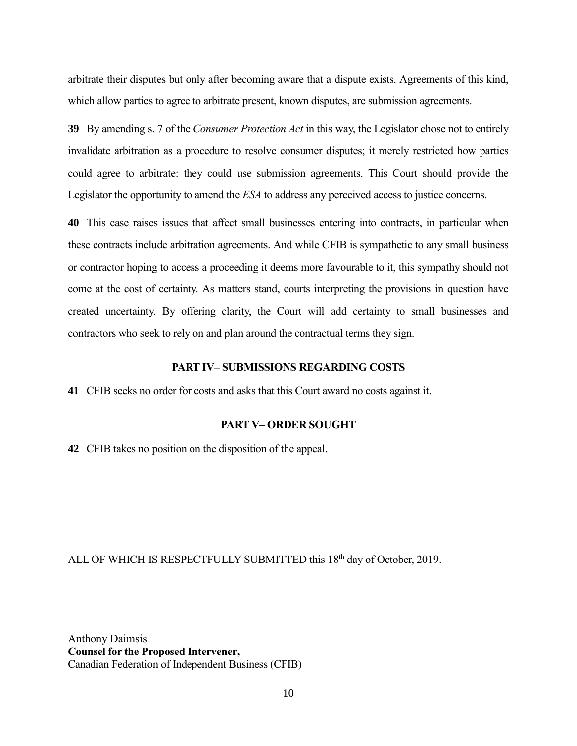arbitrate their disputes but only after becoming aware that a dispute exists. Agreements of this kind, which allow parties to agree to arbitrate present, known disputes, are submission agreements.

**39** By amending s. 7 of the *Consumer Protection Act* in this way, the Legislator chose not to entirely invalidate arbitration as a procedure to resolve consumer disputes; it merely restricted how parties could agree to arbitrate: they could use submission agreements. This Court should provide the Legislator the opportunity to amend the *ESA* to address any perceived access to justice concerns.

**40** This case raises issues that affect small businesses entering into contracts, in particular when these contracts include arbitration agreements. And while CFIB is sympathetic to any small business or contractor hoping to access a proceeding it deems more favourable to it, this sympathy should not come at the cost of certainty. As matters stand, courts interpreting the provisions in question have created uncertainty. By offering clarity, the Court will add certainty to small businesses and contractors who seek to rely on and plan around the contractual terms they sign.

## **PART IV– SUBMISSIONS REGARDING COSTS**

**41** CFIB seeks no order for costs and asks that this Court award no costs against it.

## **PART V– ORDER SOUGHT**

**42** CFIB takes no position on the disposition of the appeal.

ALL OF WHICH IS RESPECTFULLY SUBMITTED this 18<sup>th</sup> day of October, 2019.

Anthony Daimsis **Counsel for the Proposed Intervener,**  Canadian Federation of Independent Business (CFIB)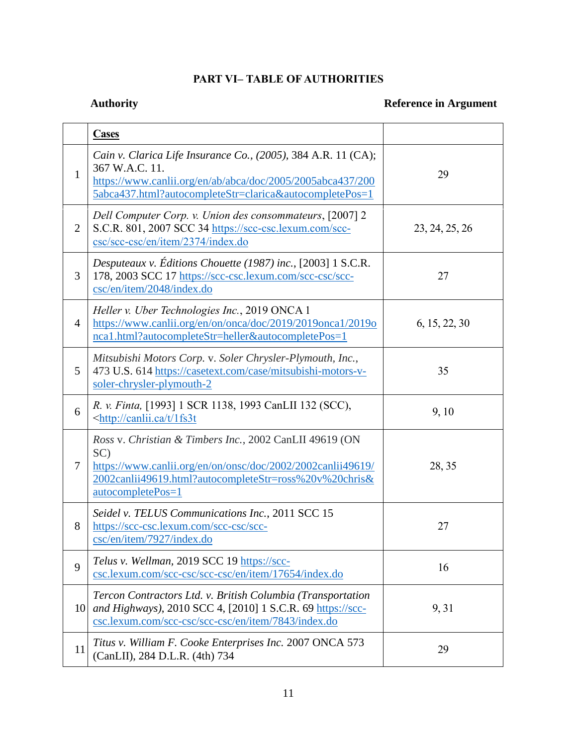## **PART VI– TABLE OF AUTHORITIES**

## **Authority Reference in Argument**

|                 | <b>Cases</b>                                                                                                                                                                                                 |                |
|-----------------|--------------------------------------------------------------------------------------------------------------------------------------------------------------------------------------------------------------|----------------|
| $\mathbf{1}$    | Cain v. Clarica Life Insurance Co., (2005), 384 A.R. 11 (CA);<br>367 W.A.C. 11.<br>https://www.canlii.org/en/ab/abca/doc/2005/2005abca437/200<br>5abca437.html?autocompleteStr=clarica&autocompletePos=1     | 29             |
| $\overline{2}$  | Dell Computer Corp. v. Union des consommateurs, [2007] 2<br>S.C.R. 801, 2007 SCC 34 https://scc-csc.lexum.com/scc-<br>csc/scc-csc/en/item/2374/index.do                                                      | 23, 24, 25, 26 |
| 3               | Desputeaux v. Éditions Chouette (1987) inc., [2003] 1 S.C.R.<br>178, 2003 SCC 17 https://scc-csc.lexum.com/scc-csc/scc-<br>csc/en/item/2048/index.do                                                         | 27             |
| 4               | Heller v. Uber Technologies Inc., 2019 ONCA 1<br>https://www.canlii.org/en/on/onca/doc/2019/2019onca1/2019o<br>nca1.html?autocompleteStr=heller&autocompletePos=1                                            | 6, 15, 22, 30  |
| 5               | Mitsubishi Motors Corp. v. Soler Chrysler-Plymouth, Inc.,<br>473 U.S. 614 https://casetext.com/case/mitsubishi-motors-v-<br>soler-chrysler-plymouth-2                                                        | 35             |
| 6               | R. v. Finta, [1993] 1 SCR 1138, 1993 CanLII 132 (SCC),<br><http: 1fs3t<="" canlii.ca="" t="" td=""><td>9, 10</td></http:>                                                                                    | 9, 10          |
| $\tau$          | Ross v. Christian & Timbers Inc., 2002 CanLII 49619 (ON<br>SC)<br>https://www.canlii.org/en/on/onsc/doc/2002/2002canlii49619/<br>2002canlii49619.html?autocompleteStr=ross%20v%20chris&<br>autocompletePos=1 | 28, 35         |
| 8               | Seidel v. TELUS Communications Inc., 2011 SCC 15<br>https://scc-csc.lexum.com/scc-csc/scc-<br>csc/en/item/7927/index.do                                                                                      | 27             |
| 9               | Telus v. Wellman, 2019 SCC 19 https://scc-<br>csc.lexum.com/scc-csc/scc-csc/en/item/17654/index.do                                                                                                           | 16             |
| 10 <sup> </sup> | Tercon Contractors Ltd. v. British Columbia (Transportation<br>and Highways), 2010 SCC 4, [2010] 1 S.C.R. 69 https://scc-<br>csc.lexum.com/scc-csc/scc-csc/en/item/7843/index.do                             | 9, 31          |
| 11              | Titus v. William F. Cooke Enterprises Inc. 2007 ONCA 573<br>(CanLII), 284 D.L.R. (4th) 734                                                                                                                   | 29             |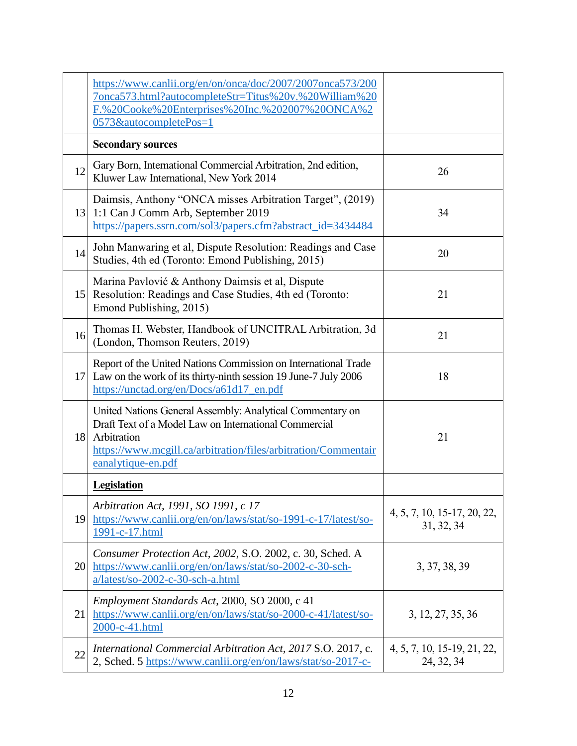|    | https://www.canlii.org/en/on/onca/doc/2007/2007onca573/200<br>7onca573.html?autocompleteStr=Titus%20v.%20William%20<br>F.%20Cooke%20Enterprises%20Inc.%202007%20ONCA%2<br>0573&autocompletePos=1                             |                                           |
|----|------------------------------------------------------------------------------------------------------------------------------------------------------------------------------------------------------------------------------|-------------------------------------------|
|    | <b>Secondary sources</b>                                                                                                                                                                                                     |                                           |
| 12 | Gary Born, International Commercial Arbitration, 2nd edition,<br>Kluwer Law International, New York 2014                                                                                                                     | 26                                        |
|    | Daimsis, Anthony "ONCA misses Arbitration Target", (2019)<br>13 1:1 Can J Comm Arb, September 2019<br>https://papers.ssrn.com/sol3/papers.cfm?abstract_id=3434484                                                            | 34                                        |
| 14 | John Manwaring et al, Dispute Resolution: Readings and Case<br>Studies, 4th ed (Toronto: Emond Publishing, 2015)                                                                                                             | 20                                        |
|    | Marina Pavlović & Anthony Daimsis et al, Dispute<br>15 Resolution: Readings and Case Studies, 4th ed (Toronto:<br>Emond Publishing, 2015)                                                                                    | 21                                        |
| 16 | Thomas H. Webster, Handbook of UNCITRAL Arbitration, 3d<br>(London, Thomson Reuters, 2019)                                                                                                                                   | 21                                        |
|    | Report of the United Nations Commission on International Trade<br>17 Law on the work of its thirty-ninth session 19 June-7 July 2006<br>https://unctad.org/en/Docs/a61d17_en.pdf                                             | 18                                        |
|    | United Nations General Assembly: Analytical Commentary on<br>Draft Text of a Model Law on International Commercial<br>18 Arbitration<br>https://www.mcgill.ca/arbitration/files/arbitration/Commentair<br>eanalytique-en.pdf | 21                                        |
|    | <b>Legislation</b>                                                                                                                                                                                                           |                                           |
|    | Arbitration Act, 1991, SO 1991, c 17<br>19 https://www.canlii.org/en/on/laws/stat/so-1991-c-17/latest/so-<br>1991-c-17.html                                                                                                  | 4, 5, 7, 10, 15-17, 20, 22,<br>31, 32, 34 |
|    | Consumer Protection Act, 2002, S.O. 2002, c. 30, Sched. A<br>20 https://www.canlii.org/en/on/laws/stat/so-2002-c-30-sch-<br>a/latest/so-2002-c-30-sch-a.html                                                                 | 3, 37, 38, 39                             |
| 21 | Employment Standards Act, 2000, SO 2000, c 41<br>https://www.canlii.org/en/on/laws/stat/so-2000-c-41/latest/so-<br>2000-c-41.html                                                                                            | 3, 12, 27, 35, 36                         |
| 22 | <i>International Commercial Arbitration Act, 2017 S.O. 2017, c.</i><br>2, Sched. 5 https://www.canlii.org/en/on/laws/stat/so-2017-c-                                                                                         | 4, 5, 7, 10, 15-19, 21, 22,<br>24, 32, 34 |